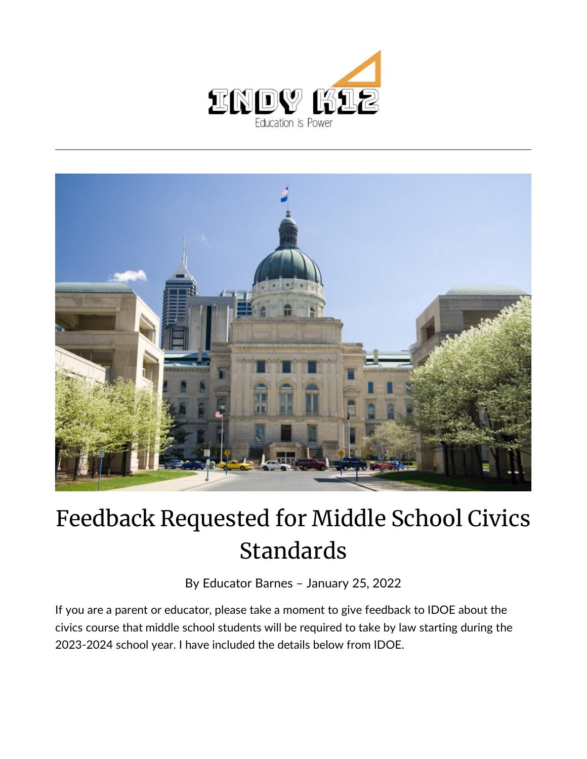



## Feedback Requested for Middle School Civics Standards

By [Educator Barnes](https://indy.education/author/shicole/) – January 25, 2022

If you are a parent or educator, please take a moment to give feedback to IDOE about the civics course that middle school students will be required to take by law starting during the 2023-2024 school year. I have included the details below from IDOE.